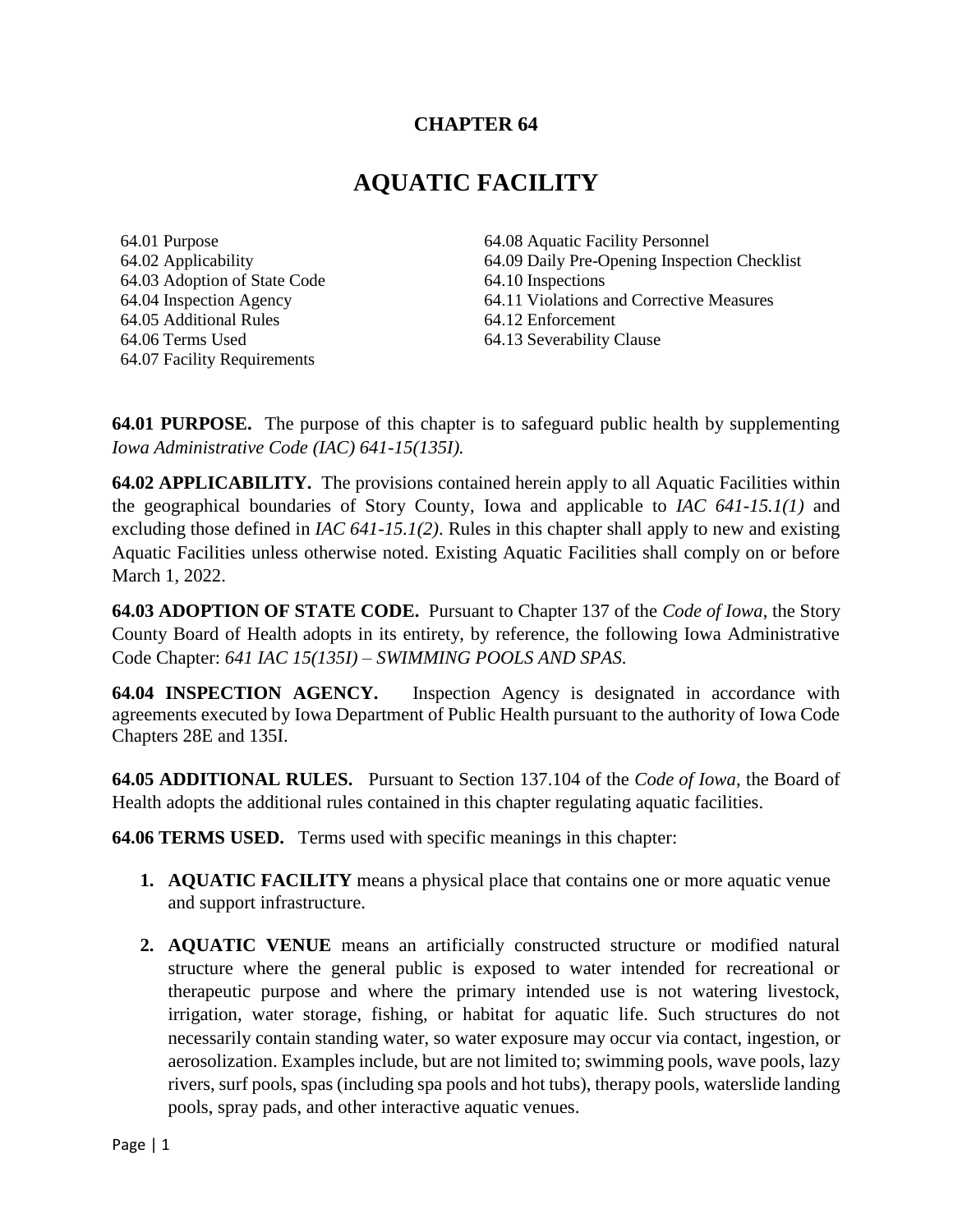## **CHAPTER 64**

# **AQUATIC FACILITY**

64.01 Purpose 64.02 Applicability 64.03 Adoption of State Code 64.04 Inspection Agency 64.05 Additional Rules 64.06 Terms Used 64.07 Facility Requirements

64.08 Aquatic Facility Personnel 64.09 Daily Pre-Opening Inspection Checklist 64.10 Inspections 64.11 Violations and Corrective Measures 64.12 Enforcement 64.13 Severability Clause

**64.01 PURPOSE.** The purpose of this chapter is to safeguard public health by supplementing *Iowa Administrative Code (IAC) 641-15(135I).*

**64.02 APPLICABILITY.** The provisions contained herein apply to all Aquatic Facilities within the geographical boundaries of Story County, Iowa and applicable to *IAC 641-15.1(1)* and excluding those defined in *IAC 641-15.1(2)*. Rules in this chapter shall apply to new and existing Aquatic Facilities unless otherwise noted. Existing Aquatic Facilities shall comply on or before March 1, 2022.

**64.03 ADOPTION OF STATE CODE.** Pursuant to Chapter 137 of the *Code of Iowa*, the Story County Board of Health adopts in its entirety, by reference, the following Iowa Administrative Code Chapter: *641 IAC 15(135I) – SWIMMING POOLS AND SPAS*.

**64.04 INSPECTION AGENCY.** Inspection Agency is designated in accordance with agreements executed by Iowa Department of Public Health pursuant to the authority of Iowa Code Chapters 28E and 135I.

**64.05 ADDITIONAL RULES.** Pursuant to Section 137.104 of the *Code of Iowa*, the Board of Health adopts the additional rules contained in this chapter regulating aquatic facilities.

**64.06 TERMS USED.** Terms used with specific meanings in this chapter:

- **1. AQUATIC FACILITY** means a physical place that contains one or more aquatic venue and support infrastructure.
- **2. AQUATIC VENUE** means an artificially constructed structure or modified natural structure where the general public is exposed to water intended for recreational or therapeutic purpose and where the primary intended use is not watering livestock, irrigation, water storage, fishing, or habitat for aquatic life. Such structures do not necessarily contain standing water, so water exposure may occur via contact, ingestion, or aerosolization. Examples include, but are not limited to; swimming pools, wave pools, lazy rivers, surf pools, spas (including spa pools and hot tubs), therapy pools, waterslide landing pools, spray pads, and other interactive aquatic venues.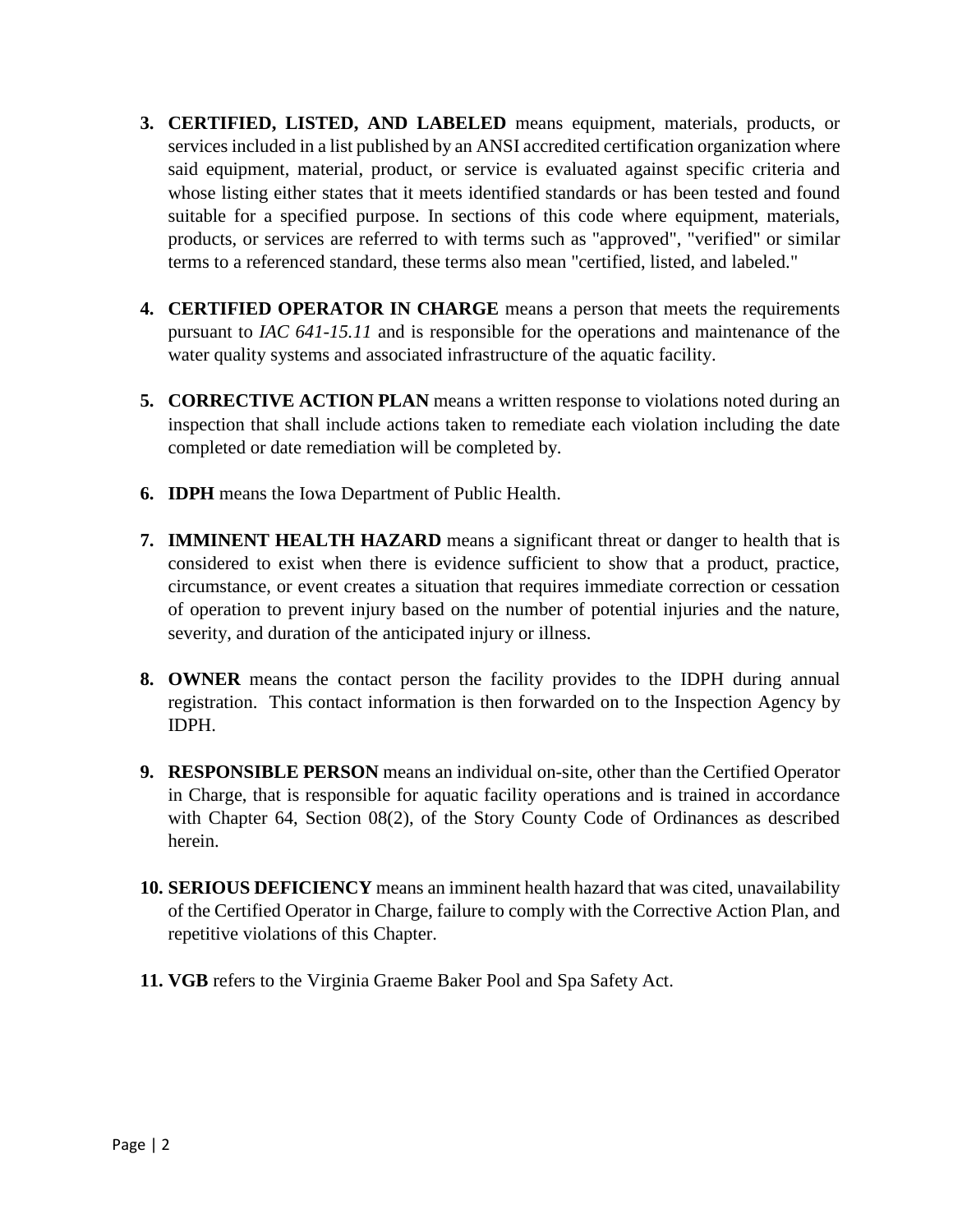- **3. CERTIFIED, LISTED, AND LABELED** means equipment, materials, products, or services included in a list published by an ANSI accredited certification organization where said equipment, material, product, or service is evaluated against specific criteria and whose listing either states that it meets identified standards or has been tested and found suitable for a specified purpose. In sections of this code where equipment, materials, products, or services are referred to with terms such as "approved", "verified" or similar terms to a referenced standard, these terms also mean "certified, listed, and labeled."
- **4. CERTIFIED OPERATOR IN CHARGE** means a person that meets the requirements pursuant to *IAC 641-15.11* and is responsible for the operations and maintenance of the water quality systems and associated infrastructure of the aquatic facility.
- **5. CORRECTIVE ACTION PLAN** means a written response to violations noted during an inspection that shall include actions taken to remediate each violation including the date completed or date remediation will be completed by.
- **6. IDPH** means the Iowa Department of Public Health.
- **7. IMMINENT HEALTH HAZARD** means a significant threat or danger to health that is considered to exist when there is evidence sufficient to show that a product, practice, circumstance, or event creates a situation that requires immediate correction or cessation of operation to prevent injury based on the number of potential injuries and the nature, severity, and duration of the anticipated injury or illness.
- **8. OWNER** means the contact person the facility provides to the IDPH during annual registration. This contact information is then forwarded on to the Inspection Agency by IDPH.
- **9. RESPONSIBLE PERSON** means an individual on-site, other than the Certified Operator in Charge, that is responsible for aquatic facility operations and is trained in accordance with Chapter 64, Section 08(2), of the Story County Code of Ordinances as described herein.
- **10. SERIOUS DEFICIENCY** means an imminent health hazard that was cited, unavailability of the Certified Operator in Charge, failure to comply with the Corrective Action Plan, and repetitive violations of this Chapter.
- **11. VGB** refers to the Virginia Graeme Baker Pool and Spa Safety Act.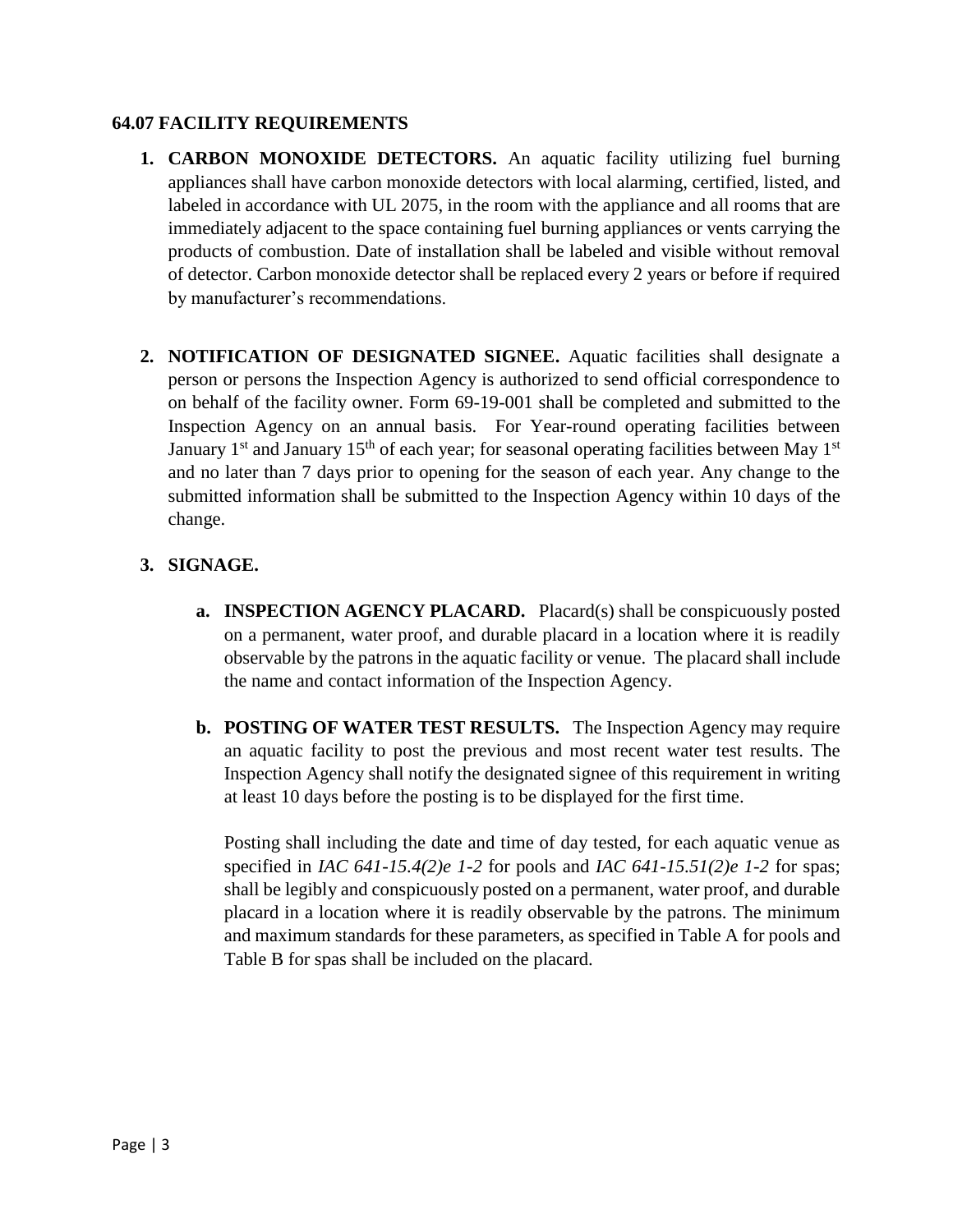#### **64.07 FACILITY REQUIREMENTS**

- **1. CARBON MONOXIDE DETECTORS.** An aquatic facility utilizing fuel burning appliances shall have carbon monoxide detectors with local alarming, certified, listed, and labeled in accordance with UL 2075, in the room with the appliance and all rooms that are immediately adjacent to the space containing fuel burning appliances or vents carrying the products of combustion. Date of installation shall be labeled and visible without removal of detector. Carbon monoxide detector shall be replaced every 2 years or before if required by manufacturer's recommendations.
- **2. NOTIFICATION OF DESIGNATED SIGNEE.** Aquatic facilities shall designate a person or persons the Inspection Agency is authorized to send official correspondence to on behalf of the facility owner. Form 69-19-001 shall be completed and submitted to the Inspection Agency on an annual basis. For Year-round operating facilities between January  $1<sup>st</sup>$  and January  $15<sup>th</sup>$  of each year; for seasonal operating facilities between May  $1<sup>st</sup>$ and no later than 7 days prior to opening for the season of each year. Any change to the submitted information shall be submitted to the Inspection Agency within 10 days of the change.

## **3. SIGNAGE.**

- **a. INSPECTION AGENCY PLACARD.** Placard(s) shall be conspicuously posted on a permanent, water proof, and durable placard in a location where it is readily observable by the patrons in the aquatic facility or venue. The placard shall include the name and contact information of the Inspection Agency.
- **b. POSTING OF WATER TEST RESULTS.** The Inspection Agency may require an aquatic facility to post the previous and most recent water test results. The Inspection Agency shall notify the designated signee of this requirement in writing at least 10 days before the posting is to be displayed for the first time.

Posting shall including the date and time of day tested, for each aquatic venue as specified in *IAC 641-15.4(2)e 1-2* for pools and *IAC 641-15.51(2)e 1-2* for spas; shall be legibly and conspicuously posted on a permanent, water proof, and durable placard in a location where it is readily observable by the patrons. The minimum and maximum standards for these parameters, as specified in Table A for pools and Table B for spas shall be included on the placard.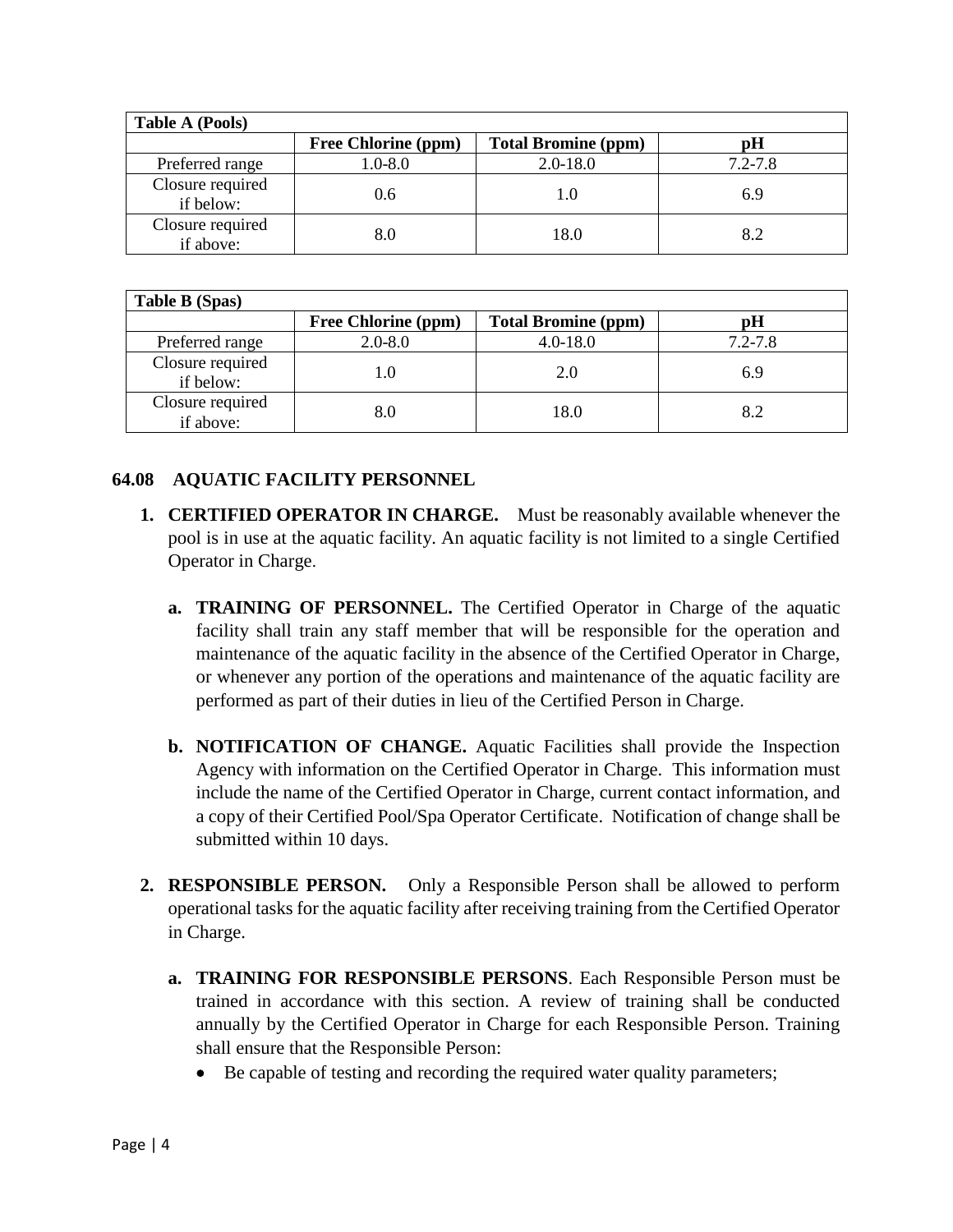| <b>Table A (Pools)</b>        |                            |                            |             |
|-------------------------------|----------------------------|----------------------------|-------------|
|                               | <b>Free Chlorine (ppm)</b> | <b>Total Bromine (ppm)</b> | рH          |
| Preferred range               | $1.0 - 8.0$                | $2.0 - 18.0$               | $7.2 - 7.8$ |
| Closure required<br>if below: | 0.6                        | 1.0                        | 6.9         |
| Closure required<br>if above: | 8.0                        | 18.0                       | 8.2         |

| Table B (Spas)                |                            |                            |             |  |
|-------------------------------|----------------------------|----------------------------|-------------|--|
|                               | <b>Free Chlorine (ppm)</b> | <b>Total Bromine (ppm)</b> | рH          |  |
| Preferred range               | $2.0 - 8.0$                | $4.0 - 18.0$               | $7.2 - 7.8$ |  |
| Closure required<br>if below: | 1.0                        | 2.0                        | 6.9         |  |
| Closure required<br>if above: | 8.0                        | 18.0                       | 8.2         |  |

#### **64.08 AQUATIC FACILITY PERSONNEL**

- **1. CERTIFIED OPERATOR IN CHARGE.** Must be reasonably available whenever the pool is in use at the aquatic facility. An aquatic facility is not limited to a single Certified Operator in Charge.
	- **a. TRAINING OF PERSONNEL.** The Certified Operator in Charge of the aquatic facility shall train any staff member that will be responsible for the operation and maintenance of the aquatic facility in the absence of the Certified Operator in Charge, or whenever any portion of the operations and maintenance of the aquatic facility are performed as part of their duties in lieu of the Certified Person in Charge.
	- **b. NOTIFICATION OF CHANGE.** Aquatic Facilities shall provide the Inspection Agency with information on the Certified Operator in Charge. This information must include the name of the Certified Operator in Charge, current contact information, and a copy of their Certified Pool/Spa Operator Certificate. Notification of change shall be submitted within 10 days.
- **2. RESPONSIBLE PERSON.** Only a Responsible Person shall be allowed to perform operational tasks for the aquatic facility after receiving training from the Certified Operator in Charge.
	- **a. TRAINING FOR RESPONSIBLE PERSONS**. Each Responsible Person must be trained in accordance with this section. A review of training shall be conducted annually by the Certified Operator in Charge for each Responsible Person. Training shall ensure that the Responsible Person:
		- Be capable of testing and recording the required water quality parameters;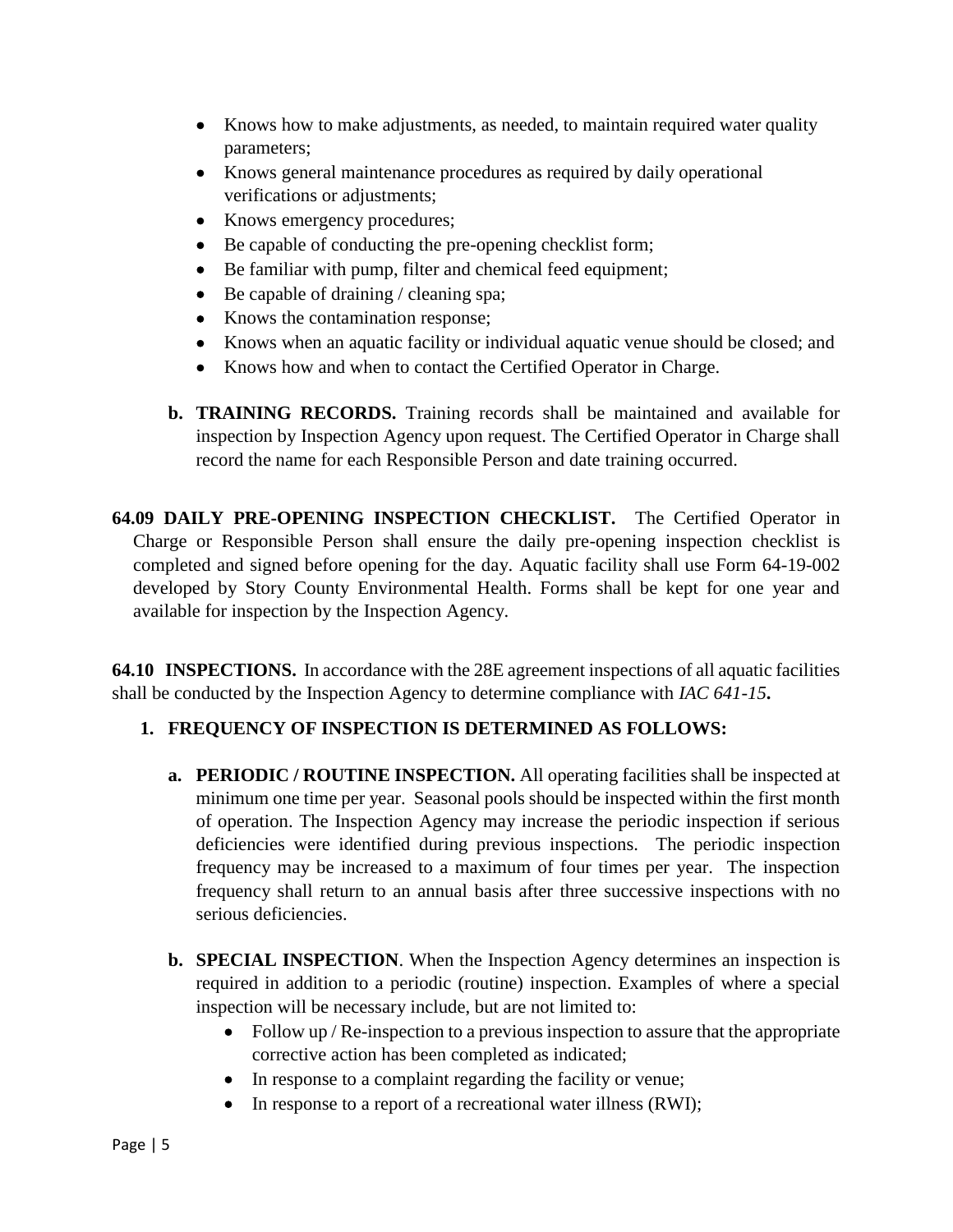- Knows how to make adjustments, as needed, to maintain required water quality parameters;
- Knows general maintenance procedures as required by daily operational verifications or adjustments;
- Knows emergency procedures;
- Be capable of conducting the pre-opening checklist form;
- Be familiar with pump, filter and chemical feed equipment;
- Be capable of draining / cleaning spa;
- Knows the contamination response;
- Knows when an aquatic facility or individual aquatic venue should be closed; and
- Knows how and when to contact the Certified Operator in Charge.
- **b. TRAINING RECORDS.** Training records shall be maintained and available for inspection by Inspection Agency upon request. The Certified Operator in Charge shall record the name for each Responsible Person and date training occurred.

**64.09 DAILY PRE-OPENING INSPECTION CHECKLIST.** The Certified Operator in Charge or Responsible Person shall ensure the daily pre-opening inspection checklist is completed and signed before opening for the day. Aquatic facility shall use Form 64-19-002 developed by Story County Environmental Health. Forms shall be kept for one year and available for inspection by the Inspection Agency.

**64.10 INSPECTIONS.** In accordance with the 28E agreement inspections of all aquatic facilities shall be conducted by the Inspection Agency to determine compliance with *IAC 641-15***.** 

#### **1. FREQUENCY OF INSPECTION IS DETERMINED AS FOLLOWS:**

- **a. PERIODIC / ROUTINE INSPECTION.** All operating facilities shall be inspected at minimum one time per year. Seasonal pools should be inspected within the first month of operation. The Inspection Agency may increase the periodic inspection if serious deficiencies were identified during previous inspections. The periodic inspection frequency may be increased to a maximum of four times per year. The inspection frequency shall return to an annual basis after three successive inspections with no serious deficiencies.
- **b. SPECIAL INSPECTION**. When the Inspection Agency determines an inspection is required in addition to a periodic (routine) inspection. Examples of where a special inspection will be necessary include, but are not limited to:
	- Follow up / Re-inspection to a previous inspection to assure that the appropriate corrective action has been completed as indicated;
	- In response to a complaint regarding the facility or venue;
	- In response to a report of a recreational water illness (RWI);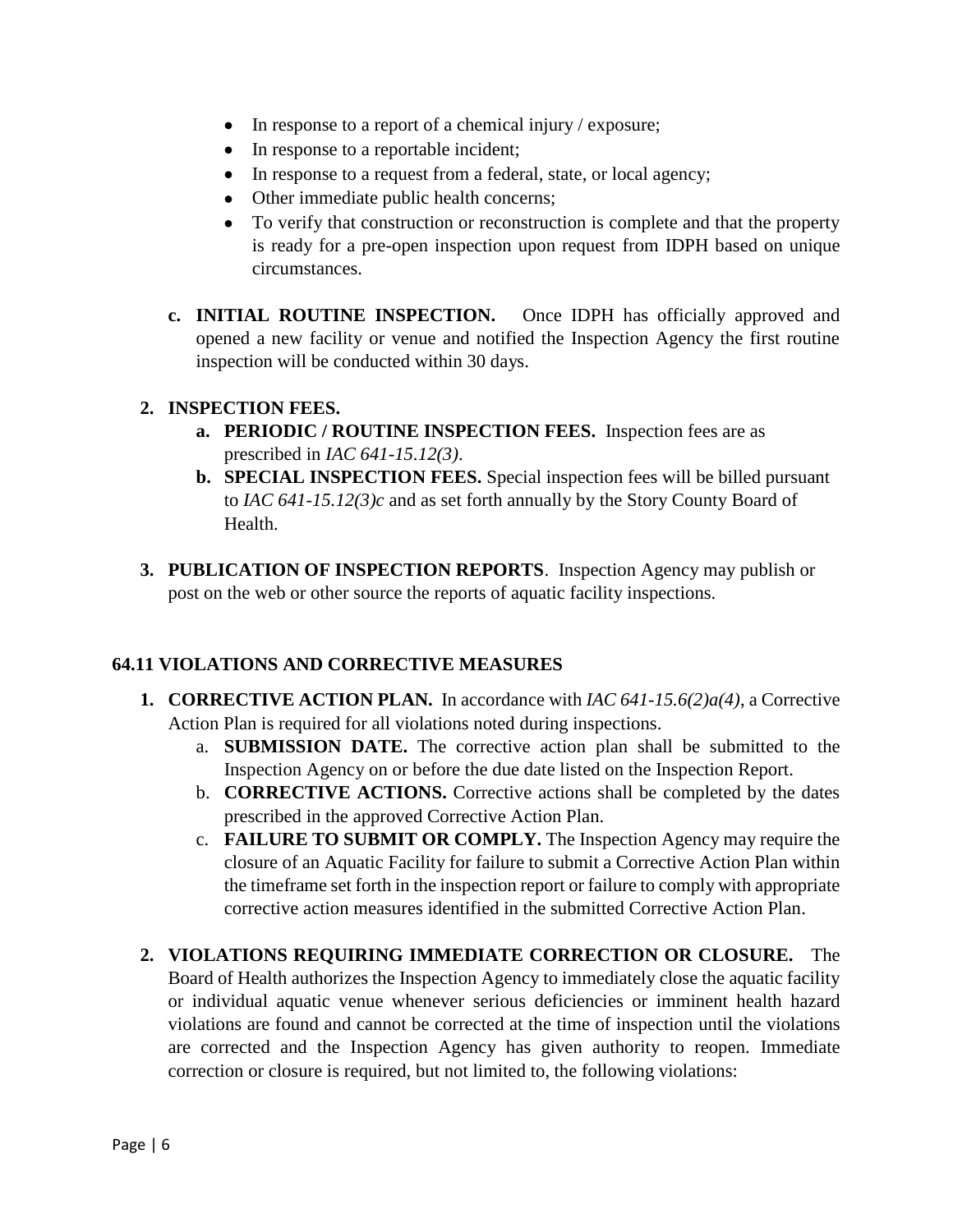- In response to a report of a chemical injury / exposure;
- In response to a reportable incident;
- In response to a request from a federal, state, or local agency;
- Other immediate public health concerns;
- To verify that construction or reconstruction is complete and that the property is ready for a pre-open inspection upon request from IDPH based on unique circumstances.
- **c. INITIAL ROUTINE INSPECTION.** Once IDPH has officially approved and opened a new facility or venue and notified the Inspection Agency the first routine inspection will be conducted within 30 days.

## **2. INSPECTION FEES.**

- **a. PERIODIC / ROUTINE INSPECTION FEES.** Inspection fees are as prescribed in *IAC 641-15.12(3)*.
- **b. SPECIAL INSPECTION FEES.** Special inspection fees will be billed pursuant to *IAC 641-15.12(3)c* and as set forth annually by the Story County Board of Health.
- **3. PUBLICATION OF INSPECTION REPORTS**. Inspection Agency may publish or post on the web or other source the reports of aquatic facility inspections.

## **64.11 VIOLATIONS AND CORRECTIVE MEASURES**

- **1. CORRECTIVE ACTION PLAN.** In accordance with *IAC 641-15.6(2)a(4)*, a Corrective Action Plan is required for all violations noted during inspections.
	- a. **SUBMISSION DATE.** The corrective action plan shall be submitted to the Inspection Agency on or before the due date listed on the Inspection Report.
	- b. **CORRECTIVE ACTIONS.** Corrective actions shall be completed by the dates prescribed in the approved Corrective Action Plan.
	- c. **FAILURE TO SUBMIT OR COMPLY.** The Inspection Agency may require the closure of an Aquatic Facility for failure to submit a Corrective Action Plan within the timeframe set forth in the inspection report or failure to comply with appropriate corrective action measures identified in the submitted Corrective Action Plan.
- **2. VIOLATIONS REQUIRING IMMEDIATE CORRECTION OR CLOSURE.** The Board of Health authorizes the Inspection Agency to immediately close the aquatic facility or individual aquatic venue whenever serious deficiencies or imminent health hazard violations are found and cannot be corrected at the time of inspection until the violations are corrected and the Inspection Agency has given authority to reopen. Immediate correction or closure is required, but not limited to, the following violations: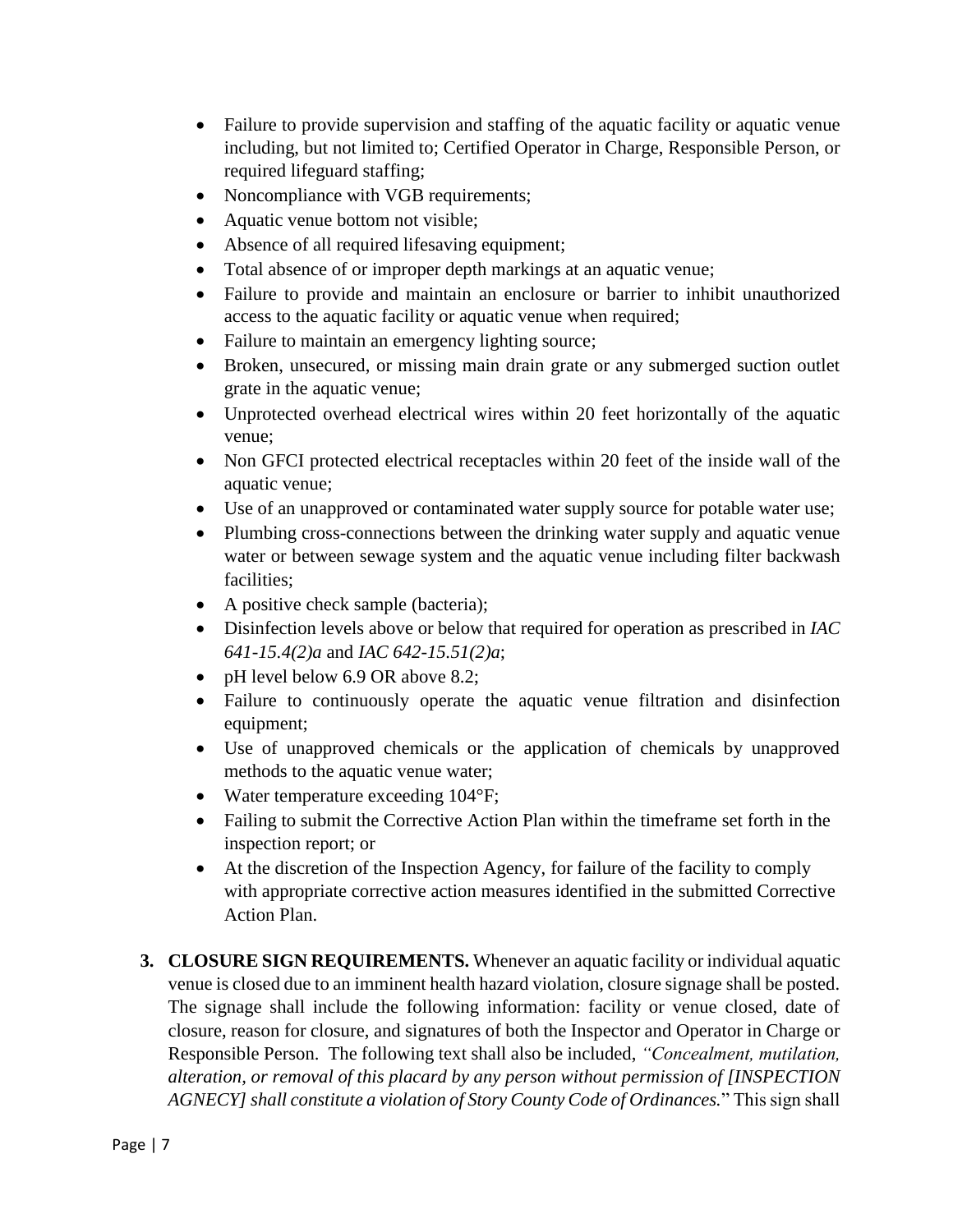- Failure to provide supervision and staffing of the aquatic facility or aquatic venue including, but not limited to; Certified Operator in Charge, Responsible Person, or required lifeguard staffing;
- Noncompliance with VGB requirements;
- Aquatic venue bottom not visible;
- Absence of all required lifesaving equipment;
- Total absence of or improper depth markings at an aquatic venue;
- Failure to provide and maintain an enclosure or barrier to inhibit unauthorized access to the aquatic facility or aquatic venue when required;
- Failure to maintain an emergency lighting source;
- Broken, unsecured, or missing main drain grate or any submerged suction outlet grate in the aquatic venue;
- Unprotected overhead electrical wires within 20 feet horizontally of the aquatic venue;
- Non GFCI protected electrical receptacles within 20 feet of the inside wall of the aquatic venue;
- Use of an unapproved or contaminated water supply source for potable water use;
- Plumbing cross-connections between the drinking water supply and aquatic venue water or between sewage system and the aquatic venue including filter backwash facilities;
- A positive check sample (bacteria);
- Disinfection levels above or below that required for operation as prescribed in *IAC 641-15.4(2)a* and *IAC 642-15.51(2)a*;
- pH level below 6.9 OR above 8.2;
- Failure to continuously operate the aquatic venue filtration and disinfection equipment;
- Use of unapproved chemicals or the application of chemicals by unapproved methods to the aquatic venue water;
- Water temperature exceeding 104°F;
- Failing to submit the Corrective Action Plan within the timeframe set forth in the inspection report; or
- At the discretion of the Inspection Agency, for failure of the facility to comply with appropriate corrective action measures identified in the submitted Corrective Action Plan.
- **3. CLOSURE SIGN REQUIREMENTS.** Whenever an aquatic facility or individual aquatic venue is closed due to an imminent health hazard violation, closure signage shall be posted. The signage shall include the following information: facility or venue closed, date of closure, reason for closure, and signatures of both the Inspector and Operator in Charge or Responsible Person. The following text shall also be included, *"Concealment, mutilation, alteration, or removal of this placard by any person without permission of [INSPECTION AGNECY] shall constitute a violation of Story County Code of Ordinances.*" This sign shall